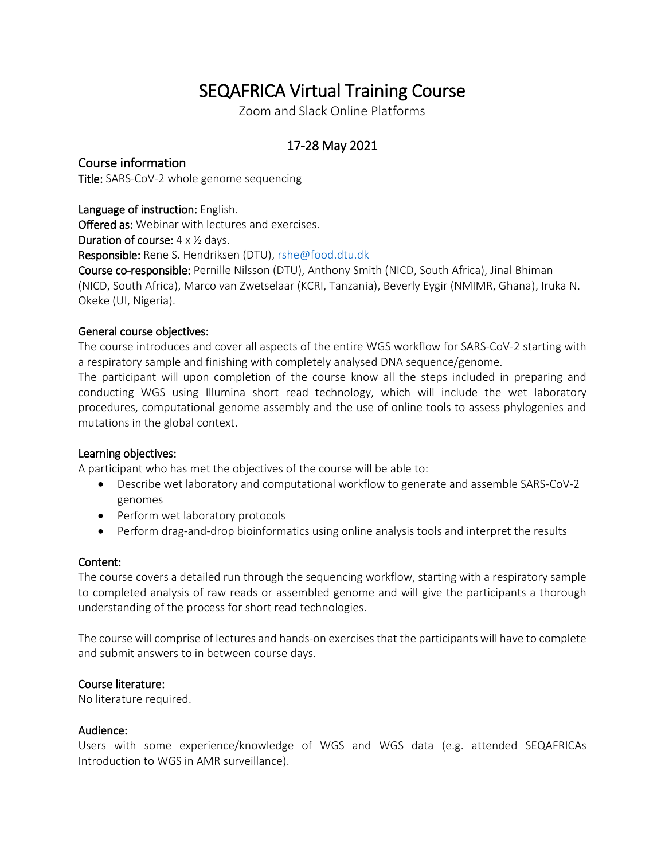# SEQAFRICA Virtual Training Course

Zoom and Slack Online Platforms

## 17-28 May 2021

### Course information

Title: SARS-CoV-2 whole genome sequencing

#### Language of instruction: English.

Offered as: Webinar with lectures and exercises.

**Duration of course:**  $4 \times \frac{1}{2}$  days.

Responsible: Rene S. Hendriksen (DTU)[, rshe@food.dtu.dk](mailto:rshe@food.dtu.dk)

Course co-responsible: Pernille Nilsson (DTU), Anthony Smith (NICD, South Africa), Jinal Bhiman (NICD, South Africa), Marco van Zwetselaar (KCRI, Tanzania), Beverly Eygir (NMIMR, Ghana), Iruka N. Okeke (UI, Nigeria).

#### General course objectives:

The course introduces and cover all aspects of the entire WGS workflow for SARS-CoV-2 starting with a respiratory sample and finishing with completely analysed DNA sequence/genome.

The participant will upon completion of the course know all the steps included in preparing and conducting WGS using Illumina short read technology, which will include the wet laboratory procedures, computational genome assembly and the use of online tools to assess phylogenies and mutations in the global context.

#### Learning objectives:

A participant who has met the objectives of the course will be able to:

- Describe wet laboratory and computational workflow to generate and assemble SARS-CoV-2 genomes
- Perform wet laboratory protocols
- Perform drag-and-drop bioinformatics using online analysis tools and interpret the results

#### Content:

The course covers a detailed run through the sequencing workflow, starting with a respiratory sample to completed analysis of raw reads or assembled genome and will give the participants a thorough understanding of the process for short read technologies.

The course will comprise of lectures and hands-on exercises that the participants will have to complete and submit answers to in between course days.

#### Course literature:

No literature required.

#### Audience:

Users with some experience/knowledge of WGS and WGS data (e.g. attended SEQAFRICAs Introduction to WGS in AMR surveillance).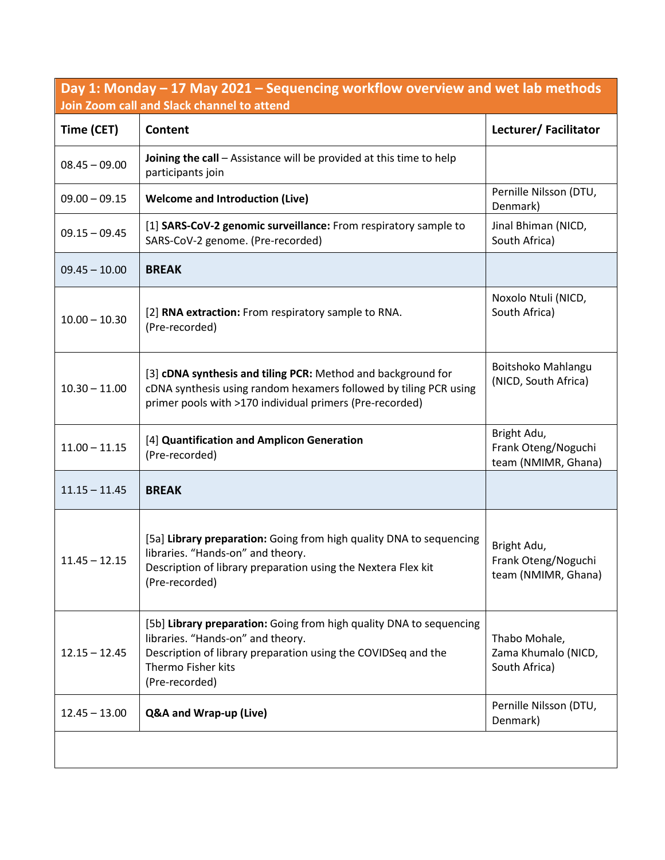**Day 1: Monday – 17 May 2021 – Sequencing workflow overview and wet lab methods Join Zoom call and Slack channel to attend**

| Time (CET)      | Content                                                                                                                                                                                                           | Lecturer/Facilitator                                      |
|-----------------|-------------------------------------------------------------------------------------------------------------------------------------------------------------------------------------------------------------------|-----------------------------------------------------------|
| $08.45 - 09.00$ | Joining the call - Assistance will be provided at this time to help<br>participants join                                                                                                                          |                                                           |
| $09.00 - 09.15$ | <b>Welcome and Introduction (Live)</b>                                                                                                                                                                            | Pernille Nilsson (DTU,<br>Denmark)                        |
| $09.15 - 09.45$ | [1] SARS-CoV-2 genomic surveillance: From respiratory sample to<br>SARS-CoV-2 genome. (Pre-recorded)                                                                                                              | Jinal Bhiman (NICD,<br>South Africa)                      |
| $09.45 - 10.00$ | <b>BREAK</b>                                                                                                                                                                                                      |                                                           |
| $10.00 - 10.30$ | [2] RNA extraction: From respiratory sample to RNA.<br>(Pre-recorded)                                                                                                                                             | Noxolo Ntuli (NICD,<br>South Africa)                      |
| $10.30 - 11.00$ | [3] cDNA synthesis and tiling PCR: Method and background for<br>cDNA synthesis using random hexamers followed by tiling PCR using<br>primer pools with >170 individual primers (Pre-recorded)                     | Boitshoko Mahlangu<br>(NICD, South Africa)                |
| $11.00 - 11.15$ | [4] Quantification and Amplicon Generation<br>(Pre-recorded)                                                                                                                                                      | Bright Adu,<br>Frank Oteng/Noguchi<br>team (NMIMR, Ghana) |
| $11.15 - 11.45$ | <b>BREAK</b>                                                                                                                                                                                                      |                                                           |
| $11.45 - 12.15$ | [5a] Library preparation: Going from high quality DNA to sequencing<br>libraries. "Hands-on" and theory.<br>Description of library preparation using the Nextera Flex kit<br>(Pre-recorded)                       | Bright Adu,<br>Frank Oteng/Noguchi<br>team (NMIMR, Ghana) |
| $12.15 - 12.45$ | [5b] Library preparation: Going from high quality DNA to sequencing<br>libraries. "Hands-on" and theory.<br>Description of library preparation using the COVIDSeq and the<br>Thermo Fisher kits<br>(Pre-recorded) | Thabo Mohale,<br>Zama Khumalo (NICD,<br>South Africa)     |
| $12.45 - 13.00$ | Q&A and Wrap-up (Live)                                                                                                                                                                                            | Pernille Nilsson (DTU,<br>Denmark)                        |
|                 |                                                                                                                                                                                                                   |                                                           |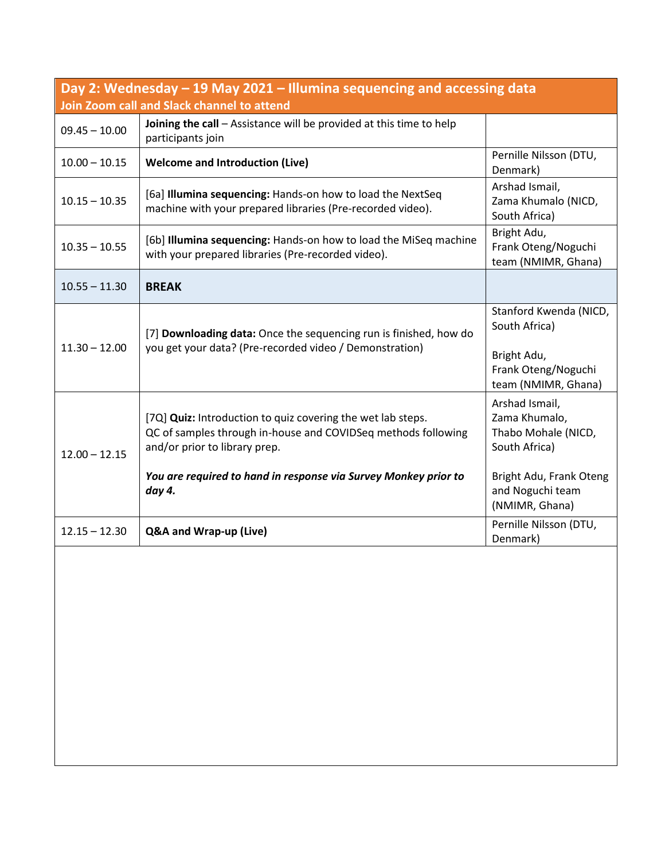| Day 2: Wednesday - 19 May 2021 - Illumina sequencing and accessing data<br>Join Zoom call and Slack channel to attend |                                                                                                                                                                                                                                            |                                                                                                                                          |  |  |
|-----------------------------------------------------------------------------------------------------------------------|--------------------------------------------------------------------------------------------------------------------------------------------------------------------------------------------------------------------------------------------|------------------------------------------------------------------------------------------------------------------------------------------|--|--|
| $09.45 - 10.00$                                                                                                       | Joining the call - Assistance will be provided at this time to help<br>participants join                                                                                                                                                   |                                                                                                                                          |  |  |
| $10.00 - 10.15$                                                                                                       | <b>Welcome and Introduction (Live)</b>                                                                                                                                                                                                     | Pernille Nilsson (DTU,<br>Denmark)                                                                                                       |  |  |
| $10.15 - 10.35$                                                                                                       | [6a] <b>Illumina sequencing:</b> Hands-on how to load the NextSeq<br>machine with your prepared libraries (Pre-recorded video).                                                                                                            | Arshad Ismail,<br>Zama Khumalo (NICD,<br>South Africa)                                                                                   |  |  |
| $10.35 - 10.55$                                                                                                       | [6b] Illumina sequencing: Hands-on how to load the MiSeq machine<br>with your prepared libraries (Pre-recorded video).                                                                                                                     | Bright Adu,<br>Frank Oteng/Noguchi<br>team (NMIMR, Ghana)                                                                                |  |  |
| $10.55 - 11.30$                                                                                                       | <b>BREAK</b>                                                                                                                                                                                                                               |                                                                                                                                          |  |  |
| $11.30 - 12.00$                                                                                                       | [7] Downloading data: Once the sequencing run is finished, how do<br>you get your data? (Pre-recorded video / Demonstration)                                                                                                               | Stanford Kwenda (NICD,<br>South Africa)<br>Bright Adu,<br>Frank Oteng/Noguchi<br>team (NMIMR, Ghana)                                     |  |  |
| $12.00 - 12.15$                                                                                                       | [7Q] Quiz: Introduction to quiz covering the wet lab steps.<br>QC of samples through in-house and COVIDSeq methods following<br>and/or prior to library prep.<br>You are required to hand in response via Survey Monkey prior to<br>day 4. | Arshad Ismail,<br>Zama Khumalo,<br>Thabo Mohale (NICD,<br>South Africa)<br>Bright Adu, Frank Oteng<br>and Noguchi team<br>(NMIMR, Ghana) |  |  |
| $12.15 - 12.30$                                                                                                       | Q&A and Wrap-up (Live)                                                                                                                                                                                                                     | Pernille Nilsson (DTU,<br>Denmark)                                                                                                       |  |  |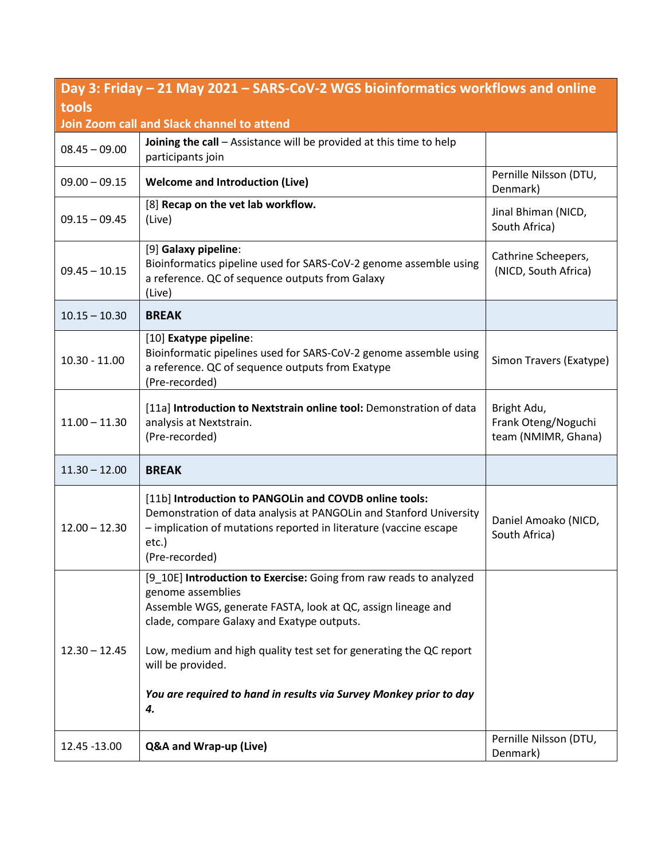| Day 3: Friday – 21 May 2021 – SARS-CoV-2 WGS bioinformatics workflows and online |                                                                                                                                                                                                                                                                                                                                                                              |                                                           |  |  |
|----------------------------------------------------------------------------------|------------------------------------------------------------------------------------------------------------------------------------------------------------------------------------------------------------------------------------------------------------------------------------------------------------------------------------------------------------------------------|-----------------------------------------------------------|--|--|
| tools                                                                            |                                                                                                                                                                                                                                                                                                                                                                              |                                                           |  |  |
|                                                                                  | Join Zoom call and Slack channel to attend                                                                                                                                                                                                                                                                                                                                   |                                                           |  |  |
| $08.45 - 09.00$                                                                  | Joining the call - Assistance will be provided at this time to help<br>participants join                                                                                                                                                                                                                                                                                     |                                                           |  |  |
| $09.00 - 09.15$                                                                  | <b>Welcome and Introduction (Live)</b>                                                                                                                                                                                                                                                                                                                                       | Pernille Nilsson (DTU,<br>Denmark)                        |  |  |
| $09.15 - 09.45$                                                                  | [8] Recap on the vet lab workflow.<br>(Live)                                                                                                                                                                                                                                                                                                                                 | Jinal Bhiman (NICD,<br>South Africa)                      |  |  |
| $09.45 - 10.15$                                                                  | [9] Galaxy pipeline:<br>Bioinformatics pipeline used for SARS-CoV-2 genome assemble using<br>a reference. QC of sequence outputs from Galaxy<br>(Live)                                                                                                                                                                                                                       | Cathrine Scheepers,<br>(NICD, South Africa)               |  |  |
| $10.15 - 10.30$                                                                  | <b>BREAK</b>                                                                                                                                                                                                                                                                                                                                                                 |                                                           |  |  |
| $10.30 - 11.00$                                                                  | [10] Exatype pipeline:<br>Bioinformatic pipelines used for SARS-CoV-2 genome assemble using<br>a reference. QC of sequence outputs from Exatype<br>(Pre-recorded)                                                                                                                                                                                                            | Simon Travers (Exatype)                                   |  |  |
| $11.00 - 11.30$                                                                  | [11a] Introduction to Nextstrain online tool: Demonstration of data<br>analysis at Nextstrain.<br>(Pre-recorded)                                                                                                                                                                                                                                                             | Bright Adu,<br>Frank Oteng/Noguchi<br>team (NMIMR, Ghana) |  |  |
| $11.30 - 12.00$                                                                  | <b>BREAK</b>                                                                                                                                                                                                                                                                                                                                                                 |                                                           |  |  |
| $12.00 - 12.30$                                                                  | [11b] Introduction to PANGOLin and COVDB online tools:<br>Demonstration of data analysis at PANGOLin and Stanford University<br>- implication of mutations reported in literature (vaccine escape<br>etc.)<br>(Pre-recorded)                                                                                                                                                 | Daniel Amoako (NICD,<br>South Africa)                     |  |  |
| $12.30 - 12.45$                                                                  | [9_10E] Introduction to Exercise: Going from raw reads to analyzed<br>genome assemblies<br>Assemble WGS, generate FASTA, look at QC, assign lineage and<br>clade, compare Galaxy and Exatype outputs.<br>Low, medium and high quality test set for generating the QC report<br>will be provided.<br>You are required to hand in results via Survey Monkey prior to day<br>4. |                                                           |  |  |
| 12.45 -13.00                                                                     | Q&A and Wrap-up (Live)                                                                                                                                                                                                                                                                                                                                                       | Pernille Nilsson (DTU,<br>Denmark)                        |  |  |